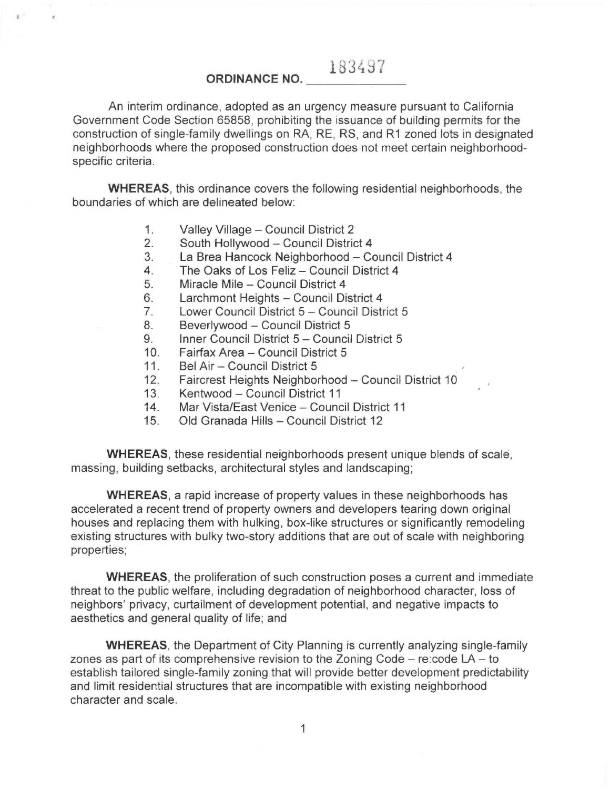# 183437

## ORDINANCE NO.

An interim ordinance, adopted as an urgency measure pursuant to California Government Code Section 65858, prohibiting the issuance of building permits for the construction of single-family dwellings on RA, RE, RS, and R1 zoned lots in designated neighborhoods where the proposed construction does not meet certain neighborhoodspecific criteria.

WHEREAS, this ordinance covers the following residential neighborhoods, the boundaries of which are delineated below:

1. Valley Village — Council District 2

 $\mathbb{R}^{d-1}$ 

- 2. South Hollywood Council District 4
- 3. La Brea Hancock Neighborhood Council District 4
- 4. The Oaks of Los Feliz Council District 4
- 5. Miracle Mile Council District 4
- 6. Larchmont Heights Council District 4
- 7. Lower Council District 5 Council District 5
- 8. Beverlywood Council District 5
- 9. Inner Council District 5 Council District 5
- 10. Fairfax Area Council District 5
- 11. Bel Air Council District 5
- 12. Faircrest Heights Neighborhood Council District 10
- 13. Kentwood Council District 11
- 14. Mar Vista/East Venice Council District 11
- 15. Old Granada Hills Council District 12

WHEREAS, these residential neighborhoods present unique blends of scale, massing, building setbacks, architectural styles and landscaping;

WHEREAS, a rapid increase of property values in these neighborhoods has accelerated a recent trend of property owners and developers tearing down original houses and replacing them with hulking, box-like structures or significantly remodeling existing structures with bulky two-story additions that are out of scale with neighboring properties;

WHEREAS, the proliferation of such construction poses a current and immediate threat to the public welfare, including degradation of neighborhood character, loss of neighbors' privacy, curtailment of development potential, and negative impacts to aesthetics and general quality of life; and

WHEREAS, the Department of City Planning is currently analyzing single-family zones as part of its comprehensive revision to the Zoning Code — re:code LA — to establish tailored single-family zoning that will provide better development predictability and limit residential structures that are incompatible with existing neighborhood character and scale.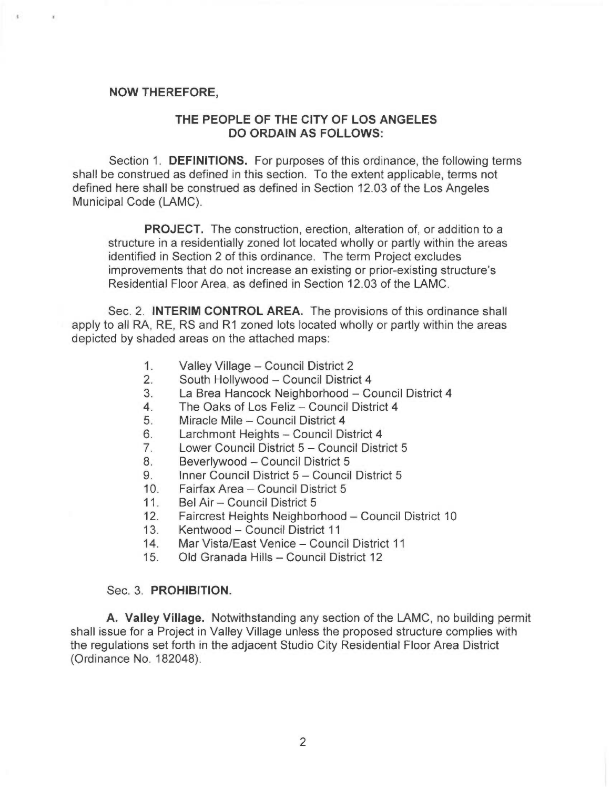## NOW THEREFORE,

 $\mathbb{C}$  .

 $\mathcal{E}$ 

# THE PEOPLE OF THE CITY OF LOS ANGELES DO ORDAIN AS FOLLOWS:

Section 1. DEFINITIONS. For purposes of this ordinance, the following terms shall be construed as defined in this section. To the extent applicable, terms not defined here shall be construed as defined in Section 12.03 of the Los Angeles Municipal Code (LAMC).

PROJECT. The construction, erection, alteration of, or addition to a structure in a residentially zoned lot located wholly or partly within the areas identified in Section 2 of this ordinance. The term Project excludes improvements that do not increase an existing or prior-existing structure's Residential Floor Area, as defined in Section 12.03 of the LAMC.

Sec. 2. INTERIM CONTROL AREA. The provisions of this ordinance shall apply to all RA, RE, RS and R1 zoned lots located wholly or partly within the areas depicted by shaded areas on the attached maps:

- 1. Valley Village Council District 2
- 2. South Hollywood Council District 4
- 3. La Brea Hancock Neighborhood Council District 4
- 4. The Oaks of Los Feliz Council District 4
- 5. Miracle Mile Council District 4
- 6. Larchmont Heights Council District 4
- 7. Lower Council District 5 Council District 5
- 8. Beverlywood Council District 5
- 9. Inner Council District 5 Council District 5
- 10. Fairfax Area Council District 5
- 11. Bel Air Council District 5
- 12. Faircrest Heights Neighborhood Council District 10
- 13. Kentwood Council District 11
- 14. Mar Vista/East Venice Council District 11
- 15. Old Granada Hills Council District 12

### Sec. 3. PROHIBITION.

A. Valley Village. Notwithstanding any section of the LAMC, no building permit shall issue for a Project in Valley Village unless the proposed structure complies with the regulations set forth in the adjacent Studio City Residential Floor Area District (Ordinance No. 182048).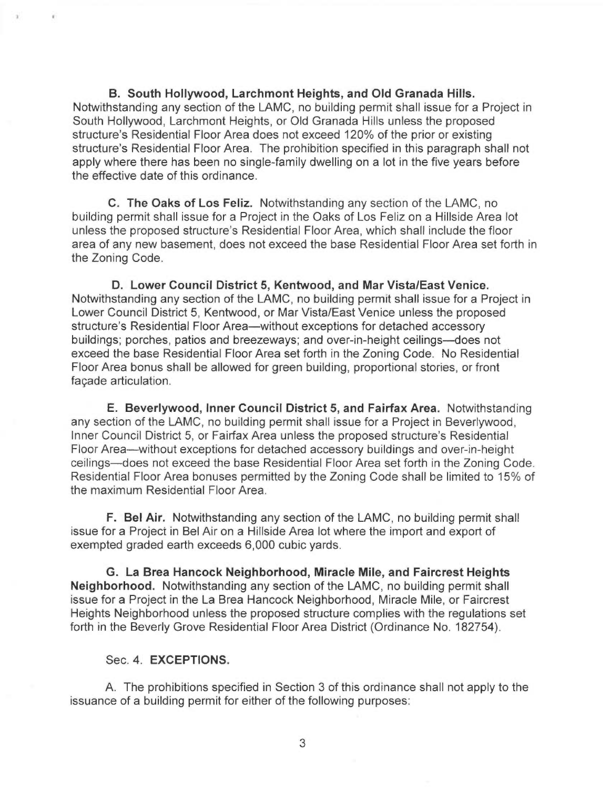B. South Hollywood, Larchmont Heights, and Old Granada Hills. Notwithstanding any section of the LAMC, no building permit shall issue for a Project in South Hollywood, Larchmont Heights, or Old Granada Hills unless the proposed structure's Residential Floor Area does not exceed 120% of the prior or existing structure's Residential Floor Area. The prohibition specified in this paragraph shall not apply where there has been no single-family dwelling on a lot in the five years before the effective date of this ordinance.

C. The Oaks of Los Feliz. Notwithstanding any section of the LAMC, no building permit shall issue for a Project in the Oaks of Los Feliz on a Hillside Area lot unless the proposed structure's Residential Floor Area, which shall include the floor area of any new basement, does not exceed the base Residential Floor Area set forth in the Zoning Code.

D. Lower Council District 5, Kentwood, and Mar Vista/East Venice. Notwithstanding any section of the LAMC, no building permit shall issue for a Project in Lower Council District 5, Kentwood, or Mar Vista/East Venice unless the proposed structure's Residential Floor Area—without exceptions for detached accessory buildings; porches, patios and breezeways; and over-in-height ceilings—does not exceed the base Residential Floor Area set forth in the Zoning Code. No Residential Floor Area bonus shall be allowed for green building, proportional stories, or front façade articulation.

E. Beverlywood, Inner Council District 5, and Fairfax Area. Notwithstanding any section of the LAMC, no building permit shall issue for a Project in Beverlywood, Inner Council District 5, or Fairfax Area unless the proposed structure's Residential Floor Area—without exceptions for detached accessory buildings and over-in-height ceilings—does not exceed the base Residential Floor Area set forth in the Zoning Code. Residential Floor Area bonuses permitted by the Zoning Code shall be limited to 15% of the maximum Residential Floor Area.

F. Bel Air. Notwithstanding any section of the LAMC, no building permit shall issue for a Project in Bel Air on a Hillside Area lot where the import and export of exempted graded earth exceeds 6,000 cubic yards.

G. La Brea Hancock Neighborhood, Miracle Mile, and Faircrest Heights Neighborhood. Notwithstanding any section of the LAMC, no building permit shall issue for a Project in the La Brea Hancock Neighborhood, Miracle Mile, or Faircrest Heights Neighborhood unless the proposed structure complies with the regulations set forth in the Beverly Grove Residential Floor Area District (Ordinance No. 182754).

## Sec. 4. EXCEPTIONS.

÷.

¥

A. The prohibitions specified in Section 3 of this ordinance shall not apply to the issuance of a building permit for either of the following purposes: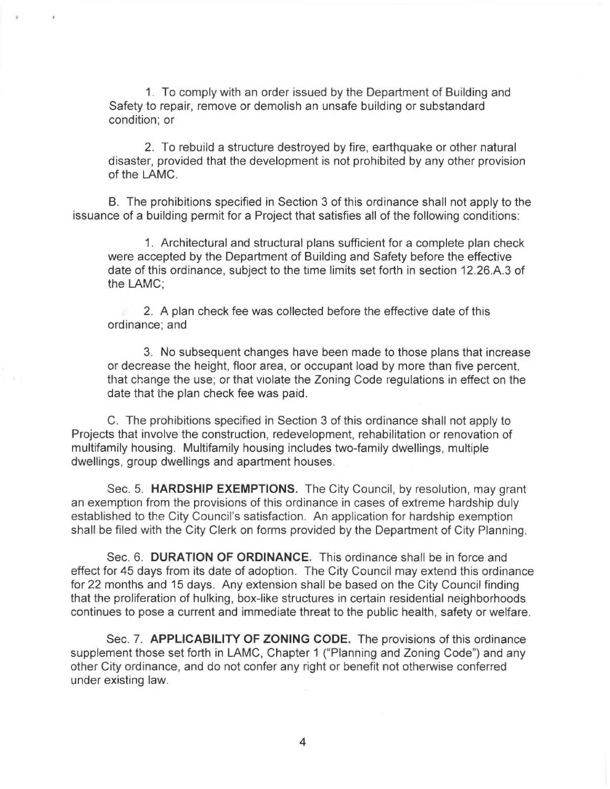1. To comply with an order issued by the Department of Building and Safety to repair, remove or demolish an unsafe building or substandard condition; or

2. To rebuild a structure destroyed by fire, earthquake or other natural disaster, provided that the development is not prohibited by any other provision of the LAMC.

B. The prohibitions specified in Section 3 of this ordinance shall not apply to the issuance of a building permit for a Project that satisfies all of the following conditions:

1. Architectural and structural plans sufficient for a complete plan check were accepted by the Department of Building and Safety before the effective date of this ordinance, subject to the time limits set forth in section 12.26.A.3 of the LAMC;

2. A plan check fee was collected before the effective date of this ordinance; and

3. No subsequent changes have been made to those plans that increase or decrease the height, floor area, or occupant load by more than five percent, that change the use; or that violate the Zoning Code regulations in effect on the date that the plan check fee was paid.

C. The prohibitions specified in Section 3 of this ordinance shall not apply to Projects that involve the construction, redevelopment, rehabilitation or renovation of multifamily housing. Multifamily housing includes two-family dwellings, multiple dwellings, group dwellings and apartment houses.

Sec. 5. HARDSHIP EXEMPTIONS. The City Council, by resolution, may grant an exemption from the provisions of this ordinance in cases of extreme hardship duly established to the City Council's satisfaction. An application for hardship exemption shall be filed with the City Clerk on forms provided by the Department of City Planning.

Sec. 6. DURATION OF ORDINANCE. This ordinance shall be in force and effect for 45 days from its date of adoption. The City Council may extend this ordinance for 22 months and 15 days. Any extension shall be based on the City Council finding that the proliferation of hulking, box-like structures in certain residential neighborhoods continues to pose a current and immediate threat to the public health, safety or welfare.

Sec. 7. APPLICABILITY OF ZONING CODE. The provisions of this ordinance supplement those set forth in LAMC, Chapter 1 ("Planning and Zoning Code") and any other City ordinance, and do not confer any right or benefit not otherwise conferred under existing law.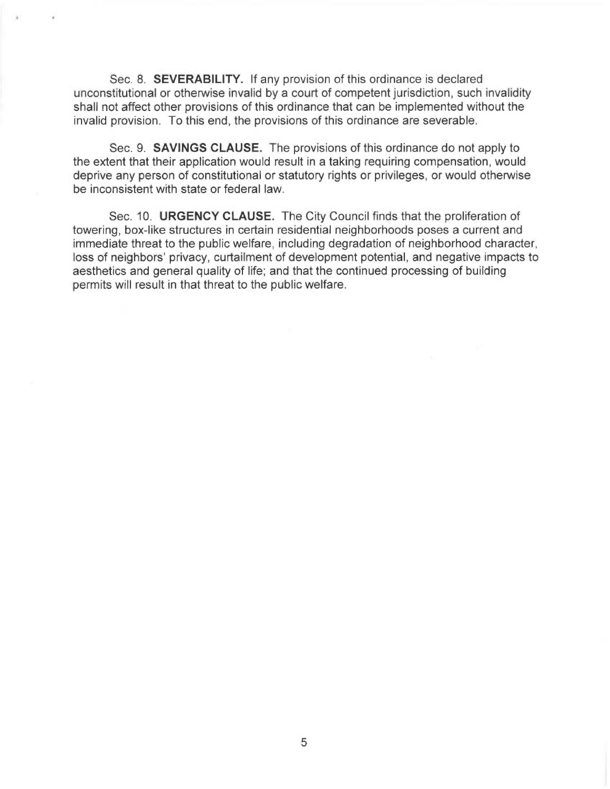Sec. 8. SEVERABILITY. If any provision of this ordinance is declared unconstitutional or otherwise invalid by a court of competent jurisdiction, such invalidity shall not affect other provisions of this ordinance that can be implemented without the invalid provision. To this end, the provisions of this ordinance are severable.

Sec. 9. SAVINGS CLAUSE. The provisions of this ordinance do not apply to the extent that their application would result in a taking requiring compensation, would deprive any person of constitutional or statutory rights or privileges, or would otherwise be inconsistent with state or federal law.

Sec. 10. URGENCY CLAUSE. The City Council finds that the proliferation of towering, box-like structures in certain residential neighborhoods poses a current and immediate threat to the public welfare, including degradation of neighborhood character, loss of neighbors' privacy, curtailment of development potential, and negative impacts to aesthetics and general quality of life; and that the continued processing of building permits will result in that threat to the public welfare.